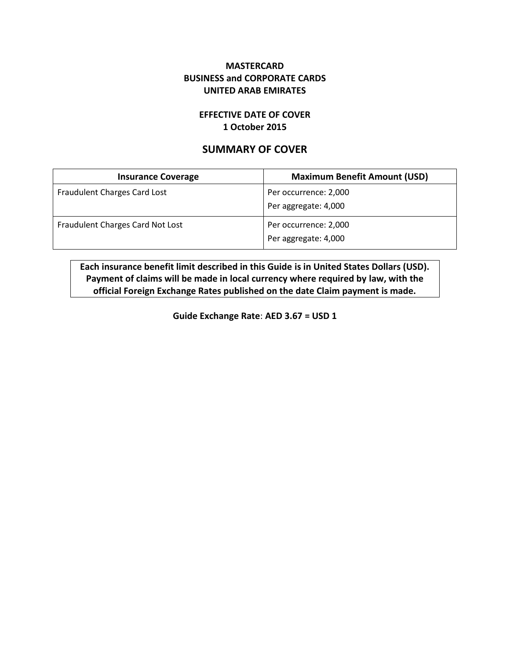## **MASTERCARD BUSINESS and CORPORATE CARDS UNITED ARAB EMIRATES**

### **EFFECTIVE DATE OF COVER 1 October 2015**

# **SUMMARY OF COVER**

| <b>Insurance Coverage</b>        | <b>Maximum Benefit Amount (USD)</b> |
|----------------------------------|-------------------------------------|
| Fraudulent Charges Card Lost     | Per occurrence: 2,000               |
|                                  | Per aggregate: 4,000                |
| Fraudulent Charges Card Not Lost | Per occurrence: 2,000               |
|                                  | Per aggregate: 4,000                |

**Each insurance benefit limit described in this Guide is in United States Dollars (USD). Payment of claims will be made in local currency where required by law, with the official Foreign Exchange Rates published on the date Claim payment is made.**

**Guide Exchange Rate**: **AED 3.67 = USD 1**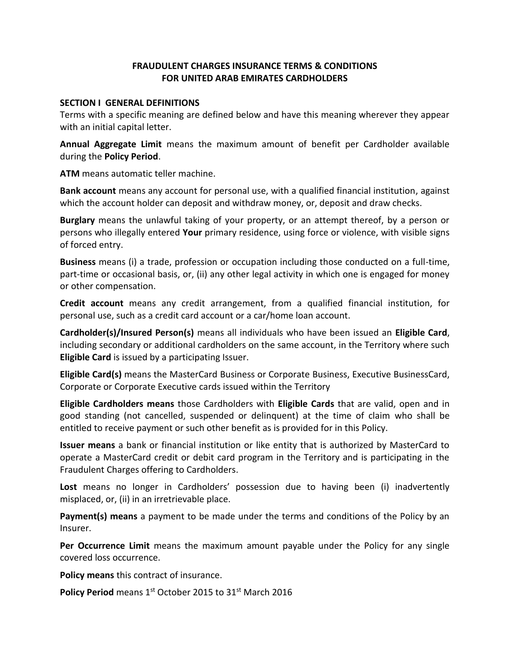## **FRAUDULENT CHARGES INSURANCE TERMS & CONDITIONS FOR UNITED ARAB EMIRATES CARDHOLDERS**

#### **SECTION I GENERAL DEFINITIONS**

Terms with a specific meaning are defined below and have this meaning wherever they appear with an initial capital letter.

**Annual Aggregate Limit** means the maximum amount of benefit per Cardholder available during the **Policy Period**.

**ATM** means automatic teller machine.

**Bank account** means any account for personal use, with a qualified financial institution, against which the account holder can deposit and withdraw money, or, deposit and draw checks.

**Burglary** means the unlawful taking of your property, or an attempt thereof, by a person or persons who illegally entered **Your** primary residence, using force or violence, with visible signs of forced entry.

**Business** means (i) a trade, profession or occupation including those conducted on a full-time, part-time or occasional basis, or, (ii) any other legal activity in which one is engaged for money or other compensation.

**Credit account** means any credit arrangement, from a qualified financial institution, for personal use, such as a credit card account or a car/home loan account.

**Cardholder(s)/Insured Person(s)** means all individuals who have been issued an **Eligible Card**, including secondary or additional cardholders on the same account, in the Territory where such **Eligible Card** is issued by a participating Issuer.

**Eligible Card(s)** means the MasterCard Business or Corporate Business, Executive BusinessCard, Corporate or Corporate Executive cards issued within the Territory

**Eligible Cardholders means** those Cardholders with **Eligible Cards** that are valid, open and in good standing (not cancelled, suspended or delinquent) at the time of claim who shall be entitled to receive payment or such other benefit as is provided for in this Policy.

**Issuer means** a bank or financial institution or like entity that is authorized by MasterCard to operate a MasterCard credit or debit card program in the Territory and is participating in the Fraudulent Charges offering to Cardholders.

**Lost** means no longer in Cardholders' possession due to having been (i) inadvertently misplaced, or, (ii) in an irretrievable place.

**Payment(s) means** a payment to be made under the terms and conditions of the Policy by an Insurer.

**Per Occurrence Limit** means the maximum amount payable under the Policy for any single covered loss occurrence.

**Policy means** this contract of insurance.

Policy Period means 1<sup>st</sup> October 2015 to 31<sup>st</sup> March 2016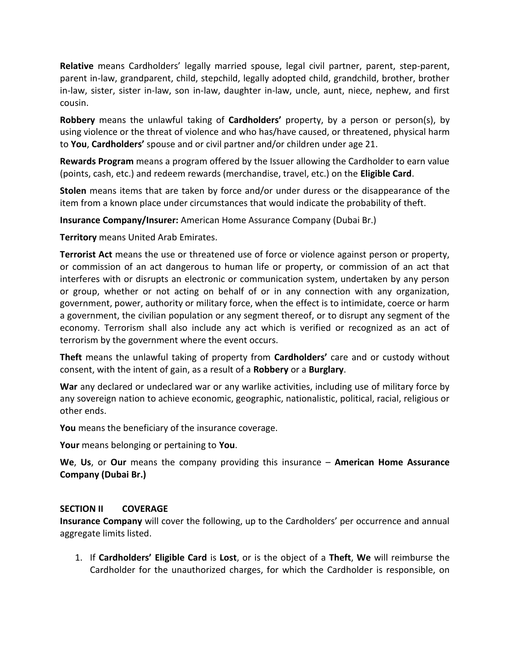**Relative** means Cardholders' legally married spouse, legal civil partner, parent, step-parent, parent in-law, grandparent, child, stepchild, legally adopted child, grandchild, brother, brother in-law, sister, sister in-law, son in-law, daughter in-law, uncle, aunt, niece, nephew, and first cousin.

**Robbery** means the unlawful taking of **Cardholders'** property, by a person or person(s), by using violence or the threat of violence and who has/have caused, or threatened, physical harm to **You**, **Cardholders'** spouse and or civil partner and/or children under age 21.

**Rewards Program** means a program offered by the Issuer allowing the Cardholder to earn value (points, cash, etc.) and redeem rewards (merchandise, travel, etc.) on the **Eligible Card**.

**Stolen** means items that are taken by force and/or under duress or the disappearance of the item from a known place under circumstances that would indicate the probability of theft.

**Insurance Company/Insurer:** American Home Assurance Company (Dubai Br.)

**Territory** means United Arab Emirates.

**Terrorist Act** means the use or threatened use of force or violence against person or property, or commission of an act dangerous to human life or property, or commission of an act that interferes with or disrupts an electronic or communication system, undertaken by any person or group, whether or not acting on behalf of or in any connection with any organization, government, power, authority or military force, when the effect is to intimidate, coerce or harm a government, the civilian population or any segment thereof, or to disrupt any segment of the economy. Terrorism shall also include any act which is verified or recognized as an act of terrorism by the government where the event occurs.

**Theft** means the unlawful taking of property from **Cardholders'** care and or custody without consent, with the intent of gain, as a result of a **Robbery** or a **Burglary**.

**War** any declared or undeclared war or any warlike activities, including use of military force by any sovereign nation to achieve economic, geographic, nationalistic, political, racial, religious or other ends.

**You** means the beneficiary of the insurance coverage.

**Your** means belonging or pertaining to **You**.

**We**, **Us**, or **Our** means the company providing this insurance – **American Home Assurance Company (Dubai Br.)**

#### **SECTION II COVERAGE**

**Insurance Company** will cover the following, up to the Cardholders' per occurrence and annual aggregate limits listed.

1. If **Cardholders' Eligible Card** is **Lost**, or is the object of a **Theft**, **We** will reimburse the Cardholder for the unauthorized charges, for which the Cardholder is responsible, on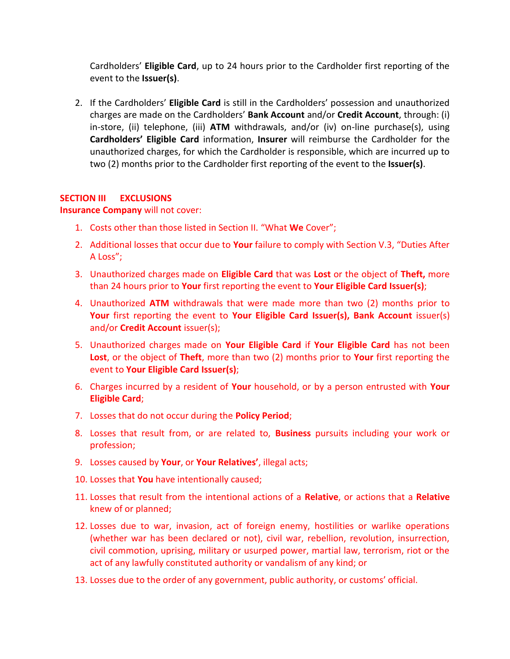Cardholders' **Eligible Card**, up to 24 hours prior to the Cardholder first reporting of the event to the **Issuer(s)**.

2. If the Cardholders' **Eligible Card** is still in the Cardholders' possession and unauthorized charges are made on the Cardholders' **Bank Account** and/or **Credit Account**, through: (i) in-store, (ii) telephone, (iii) **ATM** withdrawals, and/or (iv) on-line purchase(s), using **Cardholders' Eligible Card** information, **Insurer** will reimburse the Cardholder for the unauthorized charges, for which the Cardholder is responsible, which are incurred up to two (2) months prior to the Cardholder first reporting of the event to the **Issuer(s)**.

### **SECTION III EXCLUSIONS**

#### **Insurance Company** will not cover:

- 1. Costs other than those listed in Section II. "What **We** Cover";
- 2. Additional losses that occur due to **Your** failure to comply with Section V.3, "Duties After A Loss";
- 3. Unauthorized charges made on **Eligible Card** that was **Lost** or the object of **Theft,** more than 24 hours prior to **Your** first reporting the event to **Your Eligible Card Issuer(s)**;
- 4. Unauthorized **ATM** withdrawals that were made more than two (2) months prior to Your first reporting the event to Your Eligible Card Issuer(s), Bank Account issuer(s) and/or **Credit Account** issuer(s);
- 5. Unauthorized charges made on **Your Eligible Card** if **Your Eligible Card** has not been **Lost**, or the object of **Theft**, more than two (2) months prior to **Your** first reporting the event to **Your Eligible Card Issuer(s)**;
- 6. Charges incurred by a resident of **Your** household, or by a person entrusted with **Your Eligible Card**;
- 7. Losses that do not occur during the **Policy Period**;
- 8. Losses that result from, or are related to, **Business** pursuits including your work or profession;
- 9. Losses caused by **Your**, or **Your Relatives'**, illegal acts;
- 10. Losses that **You** have intentionally caused;
- 11. Losses that result from the intentional actions of a **Relative**, or actions that a **Relative** knew of or planned;
- 12. Losses due to war, invasion, act of foreign enemy, hostilities or warlike operations (whether war has been declared or not), civil war, rebellion, revolution, insurrection, civil commotion, uprising, military or usurped power, martial law, terrorism, riot or the act of any lawfully constituted authority or vandalism of any kind; or
- 13. Losses due to the order of any government, public authority, or customs' official.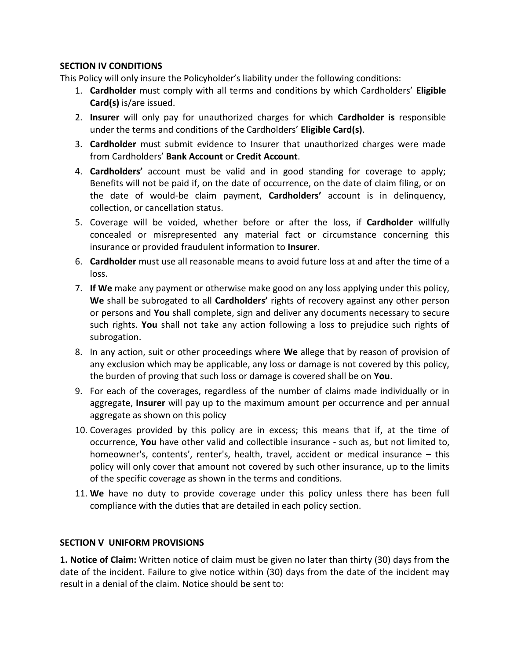## **SECTION IV CONDITIONS**

This Policy will only insure the Policyholder's liability under the following conditions:

- 1. **Cardholder** must comply with all terms and conditions by which Cardholders' **Eligible Card(s)** is/are issued.
- 2. **Insurer** will only pay for unauthorized charges for which **Cardholder is** responsible under the terms and conditions of the Cardholders' **Eligible Card(s)**.
- 3. **Cardholder** must submit evidence to Insurer that unauthorized charges were made from Cardholders' **Bank Account** or **Credit Account**.
- 4. **Cardholders'** account must be valid and in good standing for coverage to apply; Benefits will not be paid if, on the date of occurrence, on the date of claim filing, or on the date of would-be claim payment, **Cardholders'** account is in delinquency, collection, or cancellation status.
- 5. Coverage will be voided, whether before or after the loss, if **Cardholder** willfully concealed or misrepresented any material fact or circumstance concerning this insurance or provided fraudulent information to **Insurer**.
- 6. **Cardholder** must use all reasonable means to avoid future loss at and after the time of a loss.
- 7. **If We** make any payment or otherwise make good on any loss applying under this policy, **We** shall be subrogated to all **Cardholders'** rights of recovery against any other person or persons and **You** shall complete, sign and deliver any documents necessary to secure such rights. **You** shall not take any action following a loss to prejudice such rights of subrogation.
- 8. In any action, suit or other proceedings where **We** allege that by reason of provision of any exclusion which may be applicable, any loss or damage is not covered by this policy, the burden of proving that such loss or damage is covered shall be on **You**.
- 9. For each of the coverages, regardless of the number of claims made individually or in aggregate, **Insurer** will pay up to the maximum amount per occurrence and per annual aggregate as shown on this policy
- 10. Coverages provided by this policy are in excess; this means that if, at the time of occurrence, **You** have other valid and collectible insurance - such as, but not limited to, homeowner's, contents', renter's, health, travel, accident or medical insurance – this policy will only cover that amount not covered by such other insurance, up to the limits of the specific coverage as shown in the terms and conditions.
- 11. **We** have no duty to provide coverage under this policy unless there has been full compliance with the duties that are detailed in each policy section.

## **SECTION V UNIFORM PROVISIONS**

**1. Notice of Claim:** Written notice of claim must be given no later than thirty (30) days from the date of the incident. Failure to give notice within (30) days from the date of the incident may result in a denial of the claim. Notice should be sent to: